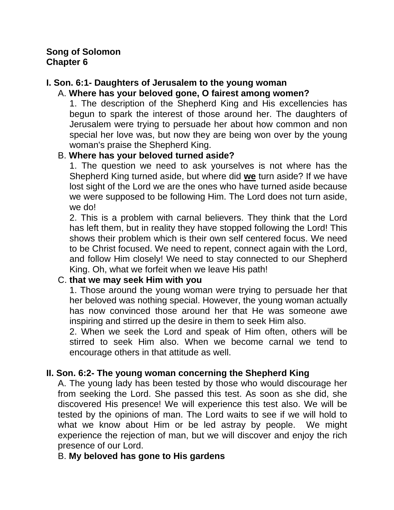## **Song of Solomon Chapter 6**

# **I. Son. 6:1- Daughters of Jerusalem to the young woman**

## A. **Where has your beloved gone, O fairest among women?**

1. The description of the Shepherd King and His excellencies has begun to spark the interest of those around her. The daughters of Jerusalem were trying to persuade her about how common and non special her love was, but now they are being won over by the young woman's praise the Shepherd King.

### B. **Where has your beloved turned aside?**

1. The question we need to ask yourselves is not where has the Shepherd King turned aside, but where did **we** turn aside? If we have lost sight of the Lord we are the ones who have turned aside because we were supposed to be following Him. The Lord does not turn aside, we do!

2. This is a problem with carnal believers. They think that the Lord has left them, but in reality they have stopped following the Lord! This shows their problem which is their own self centered focus. We need to be Christ focused. We need to repent, connect again with the Lord, and follow Him closely! We need to stay connected to our Shepherd King. Oh, what we forfeit when we leave His path!

### C. **that we may seek Him with you**

1. Those around the young woman were trying to persuade her that her beloved was nothing special. However, the young woman actually has now convinced those around her that He was someone awe inspiring and stirred up the desire in them to seek Him also.

2. When we seek the Lord and speak of Him often, others will be stirred to seek Him also. When we become carnal we tend to encourage others in that attitude as well.

### **II. Son. 6:2- The young woman concerning the Shepherd King**

A. The young lady has been tested by those who would discourage her from seeking the Lord. She passed this test. As soon as she did, she discovered His presence! We will experience this test also. We will be tested by the opinions of man. The Lord waits to see if we will hold to what we know about Him or be led astray by people. We might experience the rejection of man, but we will discover and enjoy the rich presence of our Lord.

### B. **My beloved has gone to His gardens**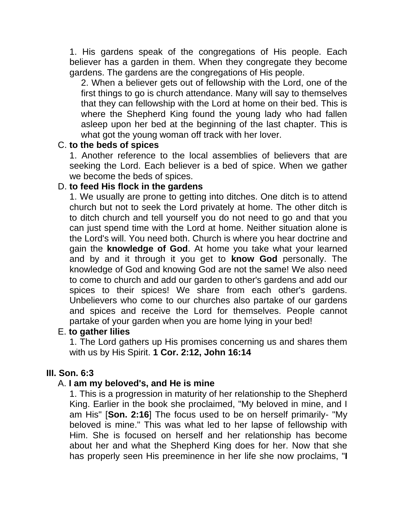1. His gardens speak of the congregations of His people. Each believer has a garden in them. When they congregate they become gardens. The gardens are the congregations of His people.

2. When a believer gets out of fellowship with the Lord, one of the first things to go is church attendance. Many will say to themselves that they can fellowship with the Lord at home on their bed. This is where the Shepherd King found the young lady who had fallen asleep upon her bed at the beginning of the last chapter. This is what got the young woman off track with her lover.

#### C. **to the beds of spices**

1. Another reference to the local assemblies of believers that are seeking the Lord. Each believer is a bed of spice. When we gather we become the beds of spices.

## D. **to feed His flock in the gardens**

1. We usually are prone to getting into ditches. One ditch is to attend church but not to seek the Lord privately at home. The other ditch is to ditch church and tell yourself you do not need to go and that you can just spend time with the Lord at home. Neither situation alone is the Lord's will. You need both. Church is where you hear doctrine and gain the **knowledge of God**. At home you take what your learned and by and it through it you get to **know God** personally. The knowledge of God and knowing God are not the same! We also need to come to church and add our garden to other's gardens and add our spices to their spices! We share from each other's gardens. Unbelievers who come to our churches also partake of our gardens and spices and receive the Lord for themselves. People cannot partake of your garden when you are home lying in your bed!

### E. **to gather lilies**

1. The Lord gathers up His promises concerning us and shares them with us by His Spirit. **1 Cor. 2:12, John 16:14**

### **III. Son. 6:3**

### A. **I am my beloved's, and He is mine**

1. This is a progression in maturity of her relationship to the Shepherd King. Earlier in the book she proclaimed, "My beloved in mine, and I am His" [**Son. 2:16**] The focus used to be on herself primarily- "My beloved is mine." This was what led to her lapse of fellowship with Him. She is focused on herself and her relationship has become about her and what the Shepherd King does for her. Now that she has properly seen His preeminence in her life she now proclaims, "**I**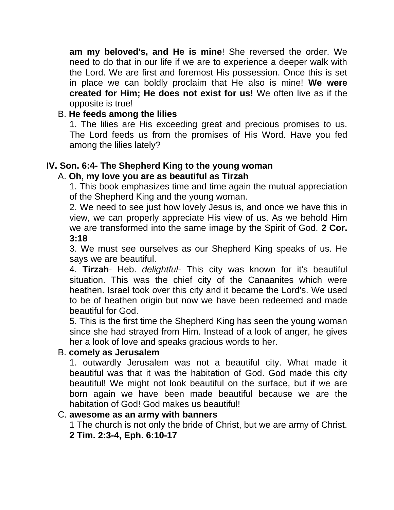**am my beloved's, and He is mine**! She reversed the order. We need to do that in our life if we are to experience a deeper walk with the Lord. We are first and foremost His possession. Once this is set in place we can boldly proclaim that He also is mine! **We were created for Him; He does not exist for us!** We often live as if the opposite is true!

# B. **He feeds among the lilies**

1. The lilies are His exceeding great and precious promises to us. The Lord feeds us from the promises of His Word. Have you fed among the lilies lately?

# **IV. Son. 6:4- The Shepherd King to the young woman**

# A. **Oh, my love you are as beautiful as Tirzah**

1. This book emphasizes time and time again the mutual appreciation of the Shepherd King and the young woman.

2. We need to see just how lovely Jesus is, and once we have this in view, we can properly appreciate His view of us. As we behold Him we are transformed into the same image by the Spirit of God. **2 Cor. 3:18**

3. We must see ourselves as our Shepherd King speaks of us. He says we are beautiful.

4. **Tirzah**- Heb. *delightful*- This city was known for it's beautiful situation. This was the chief city of the Canaanites which were heathen. Israel took over this city and it became the Lord's. We used to be of heathen origin but now we have been redeemed and made beautiful for God.

5. This is the first time the Shepherd King has seen the young woman since she had strayed from Him. Instead of a look of anger, he gives her a look of love and speaks gracious words to her.

# B. **comely as Jerusalem**

1. outwardly Jerusalem was not a beautiful city. What made it beautiful was that it was the habitation of God. God made this city beautiful! We might not look beautiful on the surface, but if we are born again we have been made beautiful because we are the habitation of God! God makes us beautiful!

### C. **awesome as an army with banners**

1 The church is not only the bride of Christ, but we are army of Christ.

**2 Tim. 2:3-4, Eph. 6:10-17**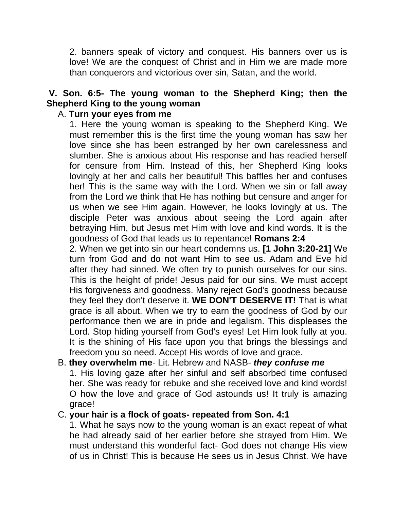2. banners speak of victory and conquest. His banners over us is love! We are the conquest of Christ and in Him we are made more than conquerors and victorious over sin, Satan, and the world.

# **V. Son. 6:5- The young woman to the Shepherd King; then the Shepherd King to the young woman**

## A. **Turn your eyes from me**

1. Here the young woman is speaking to the Shepherd King. We must remember this is the first time the young woman has saw her love since she has been estranged by her own carelessness and slumber. She is anxious about His response and has readied herself for censure from Him. Instead of this, her Shepherd King looks lovingly at her and calls her beautiful! This baffles her and confuses her! This is the same way with the Lord. When we sin or fall away from the Lord we think that He has nothing but censure and anger for us when we see Him again. However, he looks lovingly at us. The disciple Peter was anxious about seeing the Lord again after betraying Him, but Jesus met Him with love and kind words. It is the goodness of God that leads us to repentance! **Romans 2:4**

2. When we get into sin our heart condemns us. **[1 John 3:20-21]** We turn from God and do not want Him to see us. Adam and Eve hid after they had sinned. We often try to punish ourselves for our sins. This is the height of pride! Jesus paid for our sins. We must accept His forgiveness and goodness. Many reject God's goodness because they feel they don't deserve it. **WE DON'T DESERVE IT!** That is what grace is all about. When we try to earn the goodness of God by our performance then we are in pride and legalism. This displeases the Lord. Stop hiding yourself from God's eyes! Let Him look fully at you. It is the shining of His face upon you that brings the blessings and freedom you so need. Accept His words of love and grace.

## B. **they overwhelm me**- Lit. Hebrew and NASB- *they confuse me*

1. His loving gaze after her sinful and self absorbed time confused her. She was ready for rebuke and she received love and kind words! O how the love and grace of God astounds us! It truly is amazing grace!

#### C. **your hair is a flock of goats- repeated from Son. 4:1**

1. What he says now to the young woman is an exact repeat of what he had already said of her earlier before she strayed from Him. We must understand this wonderful fact- God does not change His view of us in Christ! This is because He sees us in Jesus Christ. We have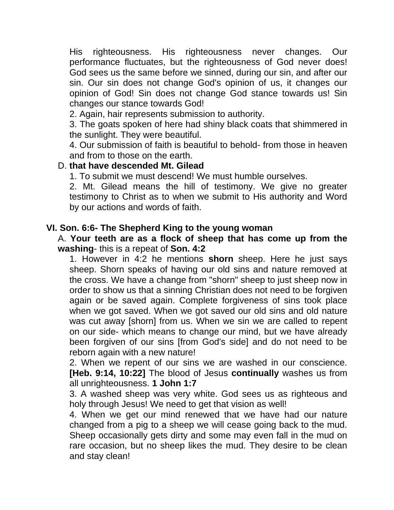His righteousness. His righteousness never changes. Our performance fluctuates, but the righteousness of God never does! God sees us the same before we sinned, during our sin, and after our sin. Our sin does not change God's opinion of us, it changes our opinion of God! Sin does not change God stance towards us! Sin changes our stance towards God!

2. Again, hair represents submission to authority.

3. The goats spoken of here had shiny black coats that shimmered in the sunlight. They were beautiful.

4. Our submission of faith is beautiful to behold- from those in heaven and from to those on the earth.

### D. **that have descended Mt. Gilead**

1. To submit we must descend! We must humble ourselves.

2. Mt. Gilead means the hill of testimony. We give no greater testimony to Christ as to when we submit to His authority and Word by our actions and words of faith.

### **VI. Son. 6:6- The Shepherd King to the young woman**

#### A. **Your teeth are as a flock of sheep that has come up from the washing**- this is a repeat of **Son. 4:2**

1. However in 4:2 he mentions **shorn** sheep. Here he just says sheep. Shorn speaks of having our old sins and nature removed at the cross. We have a change from "shorn" sheep to just sheep now in order to show us that a sinning Christian does not need to be forgiven again or be saved again. Complete forgiveness of sins took place when we got saved. When we got saved our old sins and old nature was cut away [shorn] from us. When we sin we are called to repent on our side- which means to change our mind, but we have already been forgiven of our sins [from God's side] and do not need to be reborn again with a new nature!

2. When we repent of our sins we are washed in our conscience. **[Heb. 9:14, 10:22]** The blood of Jesus **continually** washes us from all unrighteousness. **1 John 1:7**

3. A washed sheep was very white. God sees us as righteous and holy through Jesus! We need to get that vision as well!

4. When we get our mind renewed that we have had our nature changed from a pig to a sheep we will cease going back to the mud. Sheep occasionally gets dirty and some may even fall in the mud on rare occasion, but no sheep likes the mud. They desire to be clean and stay clean!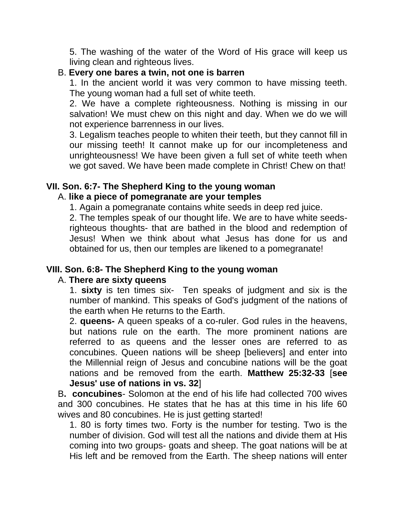5. The washing of the water of the Word of His grace will keep us living clean and righteous lives.

#### B. **Every one bares a twin, not one is barren**

1. In the ancient world it was very common to have missing teeth. The young woman had a full set of white teeth.

2. We have a complete righteousness. Nothing is missing in our salvation! We must chew on this night and day. When we do we will not experience barrenness in our lives.

3. Legalism teaches people to whiten their teeth, but they cannot fill in our missing teeth! It cannot make up for our incompleteness and unrighteousness! We have been given a full set of white teeth when we got saved. We have been made complete in Christ! Chew on that!

## **VII. Son. 6:7- The Shepherd King to the young woman**

### A. **like a piece of pomegranate are your temples**

1. Again a pomegranate contains white seeds in deep red juice.

2. The temples speak of our thought life. We are to have white seedsrighteous thoughts- that are bathed in the blood and redemption of Jesus! When we think about what Jesus has done for us and obtained for us, then our temples are likened to a pomegranate!

### **VIII. Son. 6:8- The Shepherd King to the young woman**

### A. **There are sixty queens**

1. **sixty** is ten times six- Ten speaks of judgment and six is the number of mankind. This speaks of God's judgment of the nations of the earth when He returns to the Earth.

2. **queens-** A queen speaks of a co-ruler. God rules in the heavens, but nations rule on the earth. The more prominent nations are referred to as queens and the lesser ones are referred to as concubines. Queen nations will be sheep [believers] and enter into the Millennial reign of Jesus and concubine nations will be the goat nations and be removed from the earth. **Matthew 25:32-33** [**see Jesus' use of nations in vs. 32**]

B**. concubines**- Solomon at the end of his life had collected 700 wives and 300 concubines. He states that he has at this time in his life 60 wives and 80 concubines. He is just getting started!

1. 80 is forty times two. Forty is the number for testing. Two is the number of division. God will test all the nations and divide them at His coming into two groups- goats and sheep. The goat nations will be at His left and be removed from the Earth. The sheep nations will enter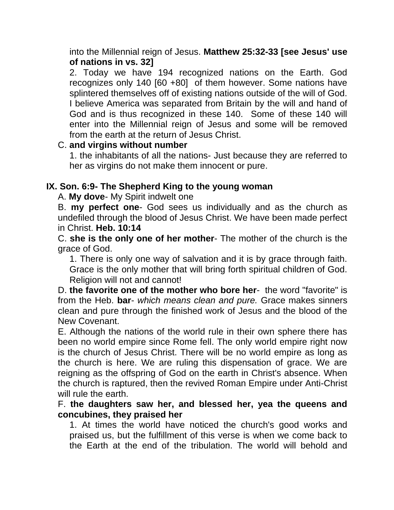into the Millennial reign of Jesus. **Matthew 25:32-33 [see Jesus' use of nations in vs. 32]**

2. Today we have 194 recognized nations on the Earth. God recognizes only 140 [60 +80] of them however. Some nations have splintered themselves off of existing nations outside of the will of God. I believe America was separated from Britain by the will and hand of God and is thus recognized in these 140. Some of these 140 will enter into the Millennial reign of Jesus and some will be removed from the earth at the return of Jesus Christ.

### C. **and virgins without number**

1. the inhabitants of all the nations- Just because they are referred to her as virgins do not make them innocent or pure.

## **IX. Son. 6:9- The Shepherd King to the young woman**

A. **My dove**- My Spirit indwelt one

B. **my perfect one**- God sees us individually and as the church as undefiled through the blood of Jesus Christ. We have been made perfect in Christ. **Heb. 10:14**

C. **she is the only one of her mother**- The mother of the church is the grace of God.

1. There is only one way of salvation and it is by grace through faith. Grace is the only mother that will bring forth spiritual children of God. Religion will not and cannot!

D. **the favorite one of the mother who bore her**- the word "favorite" is from the Heb. **bar**- *which means clean and pure.* Grace makes sinners clean and pure through the finished work of Jesus and the blood of the New Covenant.

E. Although the nations of the world rule in their own sphere there has been no world empire since Rome fell. The only world empire right now is the church of Jesus Christ. There will be no world empire as long as the church is here. We are ruling this dispensation of grace. We are reigning as the offspring of God on the earth in Christ's absence. When the church is raptured, then the revived Roman Empire under Anti-Christ will rule the earth.

F. **the daughters saw her, and blessed her, yea the queens and concubines, they praised her**

1. At times the world have noticed the church's good works and praised us, but the fulfillment of this verse is when we come back to the Earth at the end of the tribulation. The world will behold and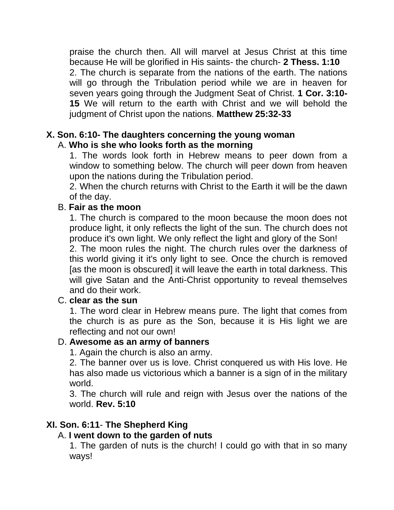praise the church then. All will marvel at Jesus Christ at this time because He will be glorified in His saints- the church- **2 Thess. 1:10** 2. The church is separate from the nations of the earth. The nations will go through the Tribulation period while we are in heaven for seven years going through the Judgment Seat of Christ. **1 Cor. 3:10- 15** We will return to the earth with Christ and we will behold the judgment of Christ upon the nations. **Matthew 25:32-33**

#### **X. Son. 6:10- The daughters concerning the young woman** A. **Who is she who looks forth as the morning**

1. The words look forth in Hebrew means to peer down from a window to something below. The church will peer down from heaven upon the nations during the Tribulation period.

2. When the church returns with Christ to the Earth it will be the dawn of the day.

### B. **Fair as the moon**

1. The church is compared to the moon because the moon does not produce light, it only reflects the light of the sun. The church does not produce it's own light. We only reflect the light and glory of the Son!

2. The moon rules the night. The church rules over the darkness of this world giving it it's only light to see. Once the church is removed [as the moon is obscured] it will leave the earth in total darkness. This will give Satan and the Anti-Christ opportunity to reveal themselves and do their work.

# C. **clear as the sun**

1. The word clear in Hebrew means pure. The light that comes from the church is as pure as the Son, because it is His light we are reflecting and not our own!

### D. **Awesome as an army of banners**

1. Again the church is also an army.

2. The banner over us is love. Christ conquered us with His love. He has also made us victorious which a banner is a sign of in the military world.

3. The church will rule and reign with Jesus over the nations of the world. **Rev. 5:10**

# **XI. Son. 6:11**- **The Shepherd King**

### A. **I went down to the garden of nuts**

1. The garden of nuts is the church! I could go with that in so many ways!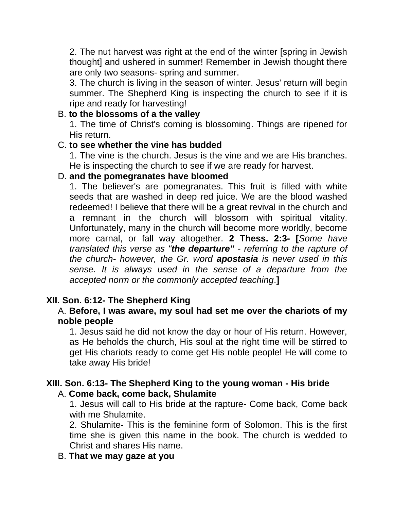2. The nut harvest was right at the end of the winter [spring in Jewish thought] and ushered in summer! Remember in Jewish thought there are only two seasons- spring and summer.

3. The church is living in the season of winter. Jesus' return will begin summer. The Shepherd King is inspecting the church to see if it is ripe and ready for harvesting!

## B. **to the blossoms of a the valley**

1. The time of Christ's coming is blossoming. Things are ripened for His return.

#### C. **to see whether the vine has budded**

1. The vine is the church. Jesus is the vine and we are His branches. He is inspecting the church to see if we are ready for harvest.

#### D. **and the pomegranates have bloomed**

1. The believer's are pomegranates. This fruit is filled with white seeds that are washed in deep red juice. We are the blood washed redeemed! I believe that there will be a great revival in the church and a remnant in the church will blossom with spiritual vitality. Unfortunately, many in the church will become more worldly, become more carnal, or fall way altogether. **2 Thess. 2:3- [***Some have translated this verse as "the departure" - referring to the rapture of the church- however, the Gr. word apostasia is never used in this sense. It is always used in the sense of a departure from the accepted norm or the commonly accepted teaching*.**]**

### **XII. Son. 6:12- The Shepherd King**

#### A. **Before, I was aware, my soul had set me over the chariots of my noble people**

1. Jesus said he did not know the day or hour of His return. However, as He beholds the church, His soul at the right time will be stirred to get His chariots ready to come get His noble people! He will come to take away His bride!

#### **XIII. Son. 6:13- The Shepherd King to the young woman - His bride** A. **Come back, come back, Shulamite**

1. Jesus will call to His bride at the rapture- Come back, Come back with me Shulamite.

2. Shulamite- This is the feminine form of Solomon. This is the first time she is given this name in the book. The church is wedded to Christ and shares His name.

### B. **That we may gaze at you**